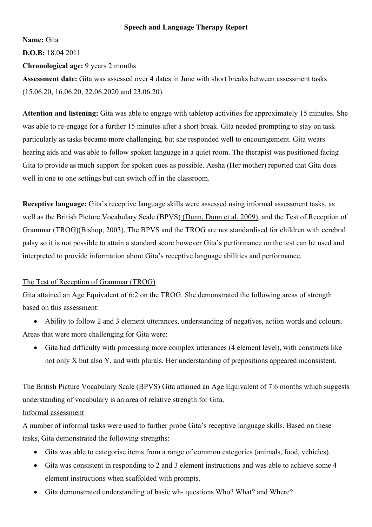## **Speech and Language Therapy Report**

**Name:** Gita

**D.O.B:** 18.04 2011

**Chronological age:** 9 years 2 months

**Assessment date:** Gita was assessed over 4 dates in June with short breaks between assessment tasks (15.06.20, 16.06.20, 22.06.2020 and 23.06.20).

**Attention and listening:** Gita was able to engage with tabletop activities for approximately 15 minutes. She was able to re-engage for a further 15 minutes after a short break. Gita needed prompting to stay on task particularly as tasks became more challenging, but she responded well to encouragement. Gita wears hearing aids and was able to follow spoken language in a quiet room. The therapist was positioned facing Gita to provide as much support for spoken cues as possible. Aesha (Her mother) reported that Gita does well in one to one settings but can switch off in the classroom.

**Receptive language:** Gita's receptive language skills were assessed using informal assessment tasks, as well as the British Picture Vocabulary Scale (BPVS) (Dunn, Dunn et al. 2009), and the Test of Reception of Grammar (TROG)(Bishop, 2003). The BPVS and the TROG are not standardised for children with cerebral palsy so it is not possible to attain a standard score however Gita's performance on the test can be used and interpreted to provide information about Gita's receptive language abilities and performance.

# The Test of Reception of Grammar (TROG)

Gita attained an Age Equivalent of 6:2 on the TROG. She demonstrated the following areas of strength based on this assessment:

• Ability to follow 2 and 3 element utterances, understanding of negatives, action words and colours. Areas that were more challenging for Gita were:

• Gita had difficulty with processing more complex utterances (4 element level), with constructs like not only X but also Y, and with plurals. Her understanding of prepositions appeared inconsistent.

The British Picture Vocabulary Scale (BPVS) Gita attained an Age Equivalent of 7:6 months which suggests understanding of vocabulary is an area of relative strength for Gita.

# Informal assessment

A number of informal tasks were used to further probe Gita's receptive language skills. Based on these tasks, Gita demonstrated the following strengths:

- Gita was able to categorise items from a range of common categories (animals, food, vehicles).
- Gita was consistent in responding to 2 and 3 element instructions and was able to achieve some 4 element instructions when scaffolded with prompts.
- Gita demonstrated understanding of basic wh- questions Who? What? and Where?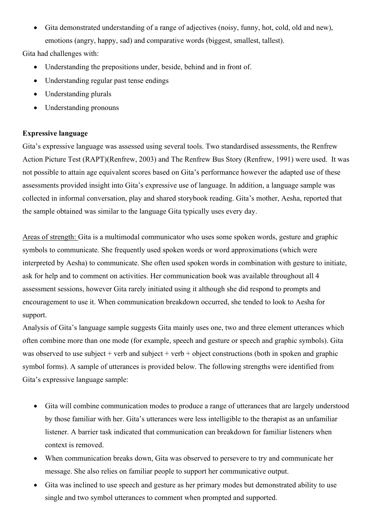• Gita demonstrated understanding of a range of adjectives (noisy, funny, hot, cold, old and new), emotions (angry, happy, sad) and comparative words (biggest, smallest, tallest).

Gita had challenges with:

- Understanding the prepositions under, beside, behind and in front of.
- Understanding regular past tense endings
- Understanding plurals
- Understanding pronouns

## **Expressive language**

Gita's expressive language was assessed using several tools. Two standardised assessments, the Renfrew Action Picture Test (RAPT)(Renfrew, 2003) and The Renfrew Bus Story (Renfrew, 1991) were used. It was not possible to attain age equivalent scores based on Gita's performance however the adapted use of these assessments provided insight into Gita's expressive use of language. In addition, a language sample was collected in informal conversation, play and shared storybook reading. Gita's mother, Aesha, reported that the sample obtained was similar to the language Gita typically uses every day.

Areas of strength: Gita is a multimodal communicator who uses some spoken words, gesture and graphic symbols to communicate. She frequently used spoken words or word approximations (which were interpreted by Aesha) to communicate. She often used spoken words in combination with gesture to initiate, ask for help and to comment on activities. Her communication book was available throughout all 4 assessment sessions, however Gita rarely initiated using it although she did respond to prompts and encouragement to use it. When communication breakdown occurred, she tended to look to Aesha for support.

Analysis of Gita's language sample suggests Gita mainly uses one, two and three element utterances which often combine more than one mode (for example, speech and gesture or speech and graphic symbols). Gita was observed to use subject + verb and subject + verb + object constructions (both in spoken and graphic symbol forms). A sample of utterances is provided below. The following strengths were identified from Gita's expressive language sample:

- Gita will combine communication modes to produce a range of utterances that are largely understood by those familiar with her. Gita's utterances were less intelligible to the therapist as an unfamiliar listener. A barrier task indicated that communication can breakdown for familiar listeners when context is removed.
- When communication breaks down, Gita was observed to persevere to try and communicate her message. She also relies on familiar people to support her communicative output.
- Gita was inclined to use speech and gesture as her primary modes but demonstrated ability to use single and two symbol utterances to comment when prompted and supported.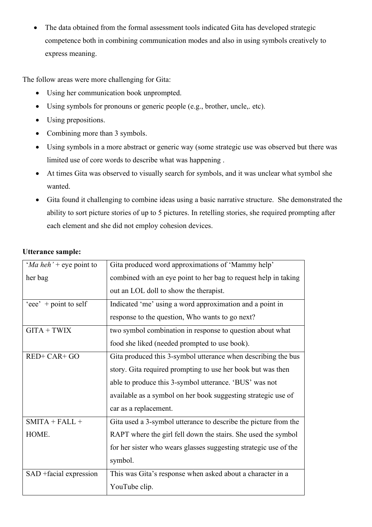• The data obtained from the formal assessment tools indicated Gita has developed strategic competence both in combining communication modes and also in using symbols creatively to express meaning.

The follow areas were more challenging for Gita:

- Using her communication book unprompted.
- Using symbols for pronouns or generic people (e.g., brother, uncle, etc).
- Using prepositions.
- Combining more than 3 symbols.
- Using symbols in a more abstract or generic way (some strategic use was observed but there was limited use of core words to describe what was happening .
- At times Gita was observed to visually search for symbols, and it was unclear what symbol she wanted.
- Gita found it challenging to combine ideas using a basic narrative structure. She demonstrated the ability to sort picture stories of up to 5 pictures. In retelling stories, she required prompting after each element and she did not employ cohesion devices.

| 'Ma heh' + eye point to | Gita produced word approximations of 'Mammy help'                |
|-------------------------|------------------------------------------------------------------|
| her bag                 | combined with an eye point to her bag to request help in taking  |
|                         | out an LOL doll to show the therapist.                           |
| 'eee' $+$ point to self | Indicated 'me' using a word approximation and a point in         |
|                         | response to the question, Who wants to go next?                  |
| $GITA + TWIX$           | two symbol combination in response to question about what        |
|                         | food she liked (needed prompted to use book).                    |
| RED+ CAR+ GO            | Gita produced this 3-symbol utterance when describing the bus    |
|                         | story. Gita required prompting to use her book but was then      |
|                         | able to produce this 3-symbol utterance. 'BUS' was not           |
|                         | available as a symbol on her book suggesting strategic use of    |
|                         | car as a replacement.                                            |
| $SMITA + FALL +$        | Gita used a 3-symbol utterance to describe the picture from the  |
| HOME.                   | RAPT where the girl fell down the stairs. She used the symbol    |
|                         | for her sister who wears glasses suggesting strategic use of the |
|                         | symbol.                                                          |
| SAD + facial expression | This was Gita's response when asked about a character in a       |
|                         | YouTube clip.                                                    |

# **Utterance sample:**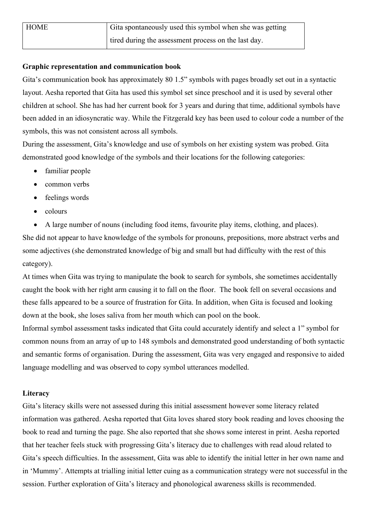| <b>HOME</b> | Gita spontaneously used this symbol when she was getting |
|-------------|----------------------------------------------------------|
|             | tired during the assessment process on the last day.     |

#### **Graphic representation and communication book**

Gita's communication book has approximately 80 1.5" symbols with pages broadly set out in a syntactic layout. Aesha reported that Gita has used this symbol set since preschool and it is used by several other children at school. She has had her current book for 3 years and during that time, additional symbols have been added in an idiosyncratic way. While the Fitzgerald key has been used to colour code a number of the symbols, this was not consistent across all symbols.

During the assessment, Gita's knowledge and use of symbols on her existing system was probed. Gita demonstrated good knowledge of the symbols and their locations for the following categories:

- familiar people
- common verbs
- feelings words
- colours

• A large number of nouns (including food items, favourite play items, clothing, and places). She did not appear to have knowledge of the symbols for pronouns, prepositions, more abstract verbs and some adjectives (she demonstrated knowledge of big and small but had difficulty with the rest of this

category).

At times when Gita was trying to manipulate the book to search for symbols, she sometimes accidentally caught the book with her right arm causing it to fall on the floor. The book fell on several occasions and these falls appeared to be a source of frustration for Gita. In addition, when Gita is focused and looking down at the book, she loses saliva from her mouth which can pool on the book.

Informal symbol assessment tasks indicated that Gita could accurately identify and select a 1" symbol for common nouns from an array of up to 148 symbols and demonstrated good understanding of both syntactic and semantic forms of organisation. During the assessment, Gita was very engaged and responsive to aided language modelling and was observed to copy symbol utterances modelled.

## **Literacy**

Gita's literacy skills were not assessed during this initial assessment however some literacy related information was gathered. Aesha reported that Gita loves shared story book reading and loves choosing the book to read and turning the page. She also reported that she shows some interest in print. Aesha reported that her teacher feels stuck with progressing Gita's literacy due to challenges with read aloud related to Gita's speech difficulties. In the assessment, Gita was able to identify the initial letter in her own name and in 'Mummy'. Attempts at trialling initial letter cuing as a communication strategy were not successful in the session. Further exploration of Gita's literacy and phonological awareness skills is recommended.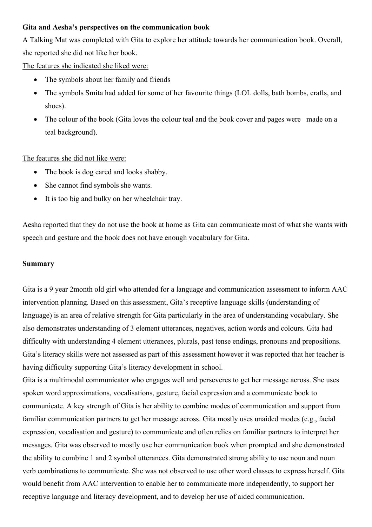### **Gita and Aesha's perspectives on the communication book**

A Talking Mat was completed with Gita to explore her attitude towards her communication book. Overall, she reported she did not like her book.

The features she indicated she liked were:

- The symbols about her family and friends
- The symbols Smita had added for some of her favourite things (LOL dolls, bath bombs, crafts, and shoes).
- The colour of the book (Gita loves the colour teal and the book cover and pages were made on a teal background).

## The features she did not like were:

- The book is dog eared and looks shabby.
- She cannot find symbols she wants.
- It is too big and bulky on her wheelchair tray.

Aesha reported that they do not use the book at home as Gita can communicate most of what she wants with speech and gesture and the book does not have enough vocabulary for Gita.

#### **Summary**

Gita is a 9 year 2month old girl who attended for a language and communication assessment to inform AAC intervention planning. Based on this assessment, Gita's receptive language skills (understanding of language) is an area of relative strength for Gita particularly in the area of understanding vocabulary. She also demonstrates understanding of 3 element utterances, negatives, action words and colours. Gita had difficulty with understanding 4 element utterances, plurals, past tense endings, pronouns and prepositions. Gita's literacy skills were not assessed as part of this assessment however it was reported that her teacher is having difficulty supporting Gita's literacy development in school.

Gita is a multimodal communicator who engages well and perseveres to get her message across. She uses spoken word approximations, vocalisations, gesture, facial expression and a communicate book to communicate. A key strength of Gita is her ability to combine modes of communication and support from familiar communication partners to get her message across. Gita mostly uses unaided modes (e.g., facial expression, vocalisation and gesture) to communicate and often relies on familiar partners to interpret her messages. Gita was observed to mostly use her communication book when prompted and she demonstrated the ability to combine 1 and 2 symbol utterances. Gita demonstrated strong ability to use noun and noun verb combinations to communicate. She was not observed to use other word classes to express herself. Gita would benefit from AAC intervention to enable her to communicate more independently, to support her receptive language and literacy development, and to develop her use of aided communication.